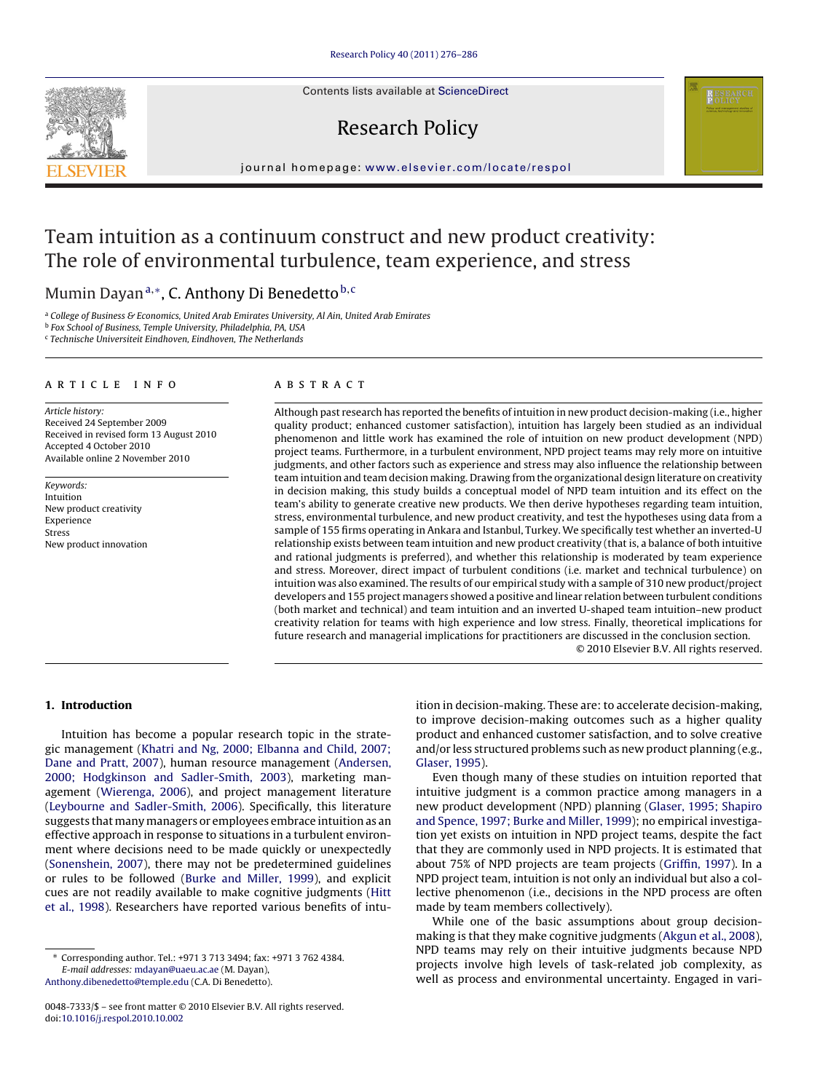Contents lists available at [ScienceDirect](http://www.sciencedirect.com/science/journal/00487333)

# Research Policy

journal homepage: [www.elsevier.com/locate/respol](http://www.elsevier.com/locate/respol)

## Team intuition as a continuum construct and new product creativity: The role of environmental turbulence, team experience, and stress

### Mumin Dayan<sup>a,∗</sup>, C. Anthony Di Benedetto<sup>b, c</sup>

<sup>a</sup> College of Business & Economics, United Arab Emirates University, Al Ain, United Arab Emirates

<sup>b</sup> Fox School of Business, Temple University, Philadelphia, PA, USA

<sup>c</sup> Technische Universiteit Eindhoven, Eindhoven, The Netherlands

#### article info

Article history: Received 24 September 2009 Received in revised form 13 August 2010 Accepted 4 October 2010 Available online 2 November 2010

Keywords: Intuition New product creativity Experience Stress New product innovation

#### ABSTRACT

Although past research has reported the benefits of intuition in new product decision-making (i.e., higher quality product; enhanced customer satisfaction), intuition has largely been studied as an individual phenomenon and little work has examined the role of intuition on new product development (NPD) project teams. Furthermore, in a turbulent environment, NPD project teams may rely more on intuitive judgments, and other factors such as experience and stress may also influence the relationship between team intuition and team decision making. Drawing from the organizational design literature on creativity in decision making, this study builds a conceptual model of NPD team intuition and its effect on the team's ability to generate creative new products. We then derive hypotheses regarding team intuition, stress, environmental turbulence, and new product creativity, and test the hypotheses using data from a sample of 155 firms operating in Ankara and Istanbul, Turkey. We specifically test whether an inverted-U relationship exists between team intuition and new product creativity (that is, a balance of both intuitive and rational judgments is preferred), and whether this relationship is moderated by team experience and stress. Moreover, direct impact of turbulent conditions (i.e. market and technical turbulence) on intuition was also examined. The results of our empirical study with a sample of 310 new product/project developers and 155 project managers showed a positive and linear relation between turbulent conditions (both market and technical) and team intuition and an inverted U-shaped team intuition–new product creativity relation for teams with high experience and low stress. Finally, theoretical implications for future research and managerial implications for practitioners are discussed in the conclusion section.

© 2010 Elsevier B.V. All rights reserved.

#### **1. Introduction**

Intuition has become a popular research topic in the strategic management ([Khatri and Ng, 2000; Elbanna and Child, 2007;](#page--1-0) [Dane and Pratt, 2007\),](#page--1-0) human resource management [\(Andersen,](#page--1-0) [2000; Hodgkinson and Sadler-Smith, 2003\),](#page--1-0) marketing management [\(Wierenga, 2006\),](#page--1-0) and project management literature ([Leybourne and Sadler-Smith, 2006\).](#page--1-0) Specifically, this literature suggests that many managers or employees embrace intuition as an effective approach in response to situations in a turbulent environment where decisions need to be made quickly or unexpectedly ([Sonenshein, 2007\),](#page--1-0) there may not be predetermined guidelines or rules to be followed ([Burke and Miller, 1999\),](#page--1-0) and explicit cues are not readily available to make cognitive judgments [\(Hitt](#page--1-0) [et al., 1998\).](#page--1-0) Researchers have reported various benefits of intu-

[Anthony.dibenedetto@temple.edu](mailto:Anthony.dibenedetto@temple.edu) (C.A. Di Benedetto).

ition in decision-making. These are: to accelerate decision-making, to improve decision-making outcomes such as a higher quality product and enhanced customer satisfaction, and to solve creative and/or less structured problems such as new product planning (e.g., [Glaser, 1995\).](#page--1-0)

Even though many of these studies on intuition reported that intuitive judgment is a common practice among managers in a new product development (NPD) planning [\(Glaser, 1995; Shapiro](#page--1-0) [and Spence, 1997; Burke and Miller, 1999\);](#page--1-0) no empirical investigation yet exists on intuition in NPD project teams, despite the fact that they are commonly used in NPD projects. It is estimated that about 75% of NPD projects are team projects [\(Griffin, 1997\).](#page--1-0) In a NPD project team, intuition is not only an individual but also a collective phenomenon (i.e., decisions in the NPD process are often made by team members collectively).

While one of the basic assumptions about group decisionmaking is that they make cognitive judgments ([Akgun et al., 2008\),](#page--1-0) NPD teams may rely on their intuitive judgments because NPD projects involve high levels of task-related job complexity, as well as process and environmental uncertainty. Engaged in vari-



<sup>∗</sup> Corresponding author. Tel.: +971 3 713 3494; fax: +971 3 762 4384. E-mail addresses: [mdayan@uaeu.ac.ae](mailto:mdayan@uaeu.ac.ae) (M. Dayan),

<sup>0048-7333/\$ –</sup> see front matter © 2010 Elsevier B.V. All rights reserved. doi:[10.1016/j.respol.2010.10.002](dx.doi.org/10.1016/j.respol.2010.10.002)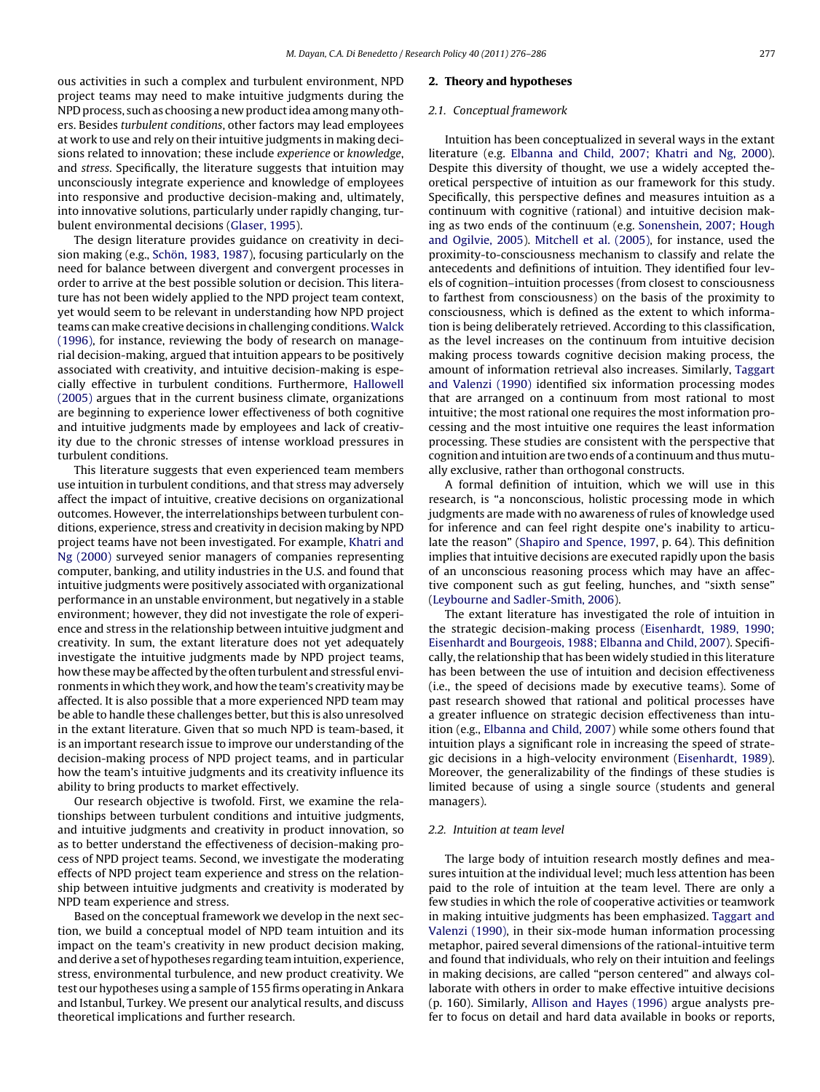ous activities in such a complex and turbulent environment, NPD project teams may need to make intuitive judgments during the NPD process, such as choosing a new product idea among many others. Besides turbulent conditions, other factors may lead employees at work to use and rely on their intuitive judgments in making decisions related to innovation; these include experience or knowledge, and stress. Specifically, the literature suggests that intuition may unconsciously integrate experience and knowledge of employees into responsive and productive decision-making and, ultimately, into innovative solutions, particularly under rapidly changing, turbulent environmental decisions ([Glaser, 1995\).](#page--1-0)

The design literature provides guidance on creativity in decision making (e.g., [Schön, 1983, 1987\),](#page--1-0) focusing particularly on the need for balance between divergent and convergent processes in order to arrive at the best possible solution or decision. This literature has not been widely applied to the NPD project team context, yet would seem to be relevant in understanding how NPD project teams can make creative decisions in challenging conditions.[Walck](#page--1-0) [\(1996\),](#page--1-0) for instance, reviewing the body of research on managerial decision-making, argued that intuition appears to be positively associated with creativity, and intuitive decision-making is especially effective in turbulent conditions. Furthermore, [Hallowell](#page--1-0) [\(2005\)](#page--1-0) argues that in the current business climate, organizations are beginning to experience lower effectiveness of both cognitive and intuitive judgments made by employees and lack of creativity due to the chronic stresses of intense workload pressures in turbulent conditions.

This literature suggests that even experienced team members use intuition in turbulent conditions, and that stress may adversely affect the impact of intuitive, creative decisions on organizational outcomes. However, the interrelationships between turbulent conditions, experience, stress and creativity in decision making by NPD project teams have not been investigated. For example, [Khatri and](#page--1-0) [Ng \(2000\)](#page--1-0) surveyed senior managers of companies representing computer, banking, and utility industries in the U.S. and found that intuitive judgments were positively associated with organizational performance in an unstable environment, but negatively in a stable environment; however, they did not investigate the role of experience and stress in the relationship between intuitive judgment and creativity. In sum, the extant literature does not yet adequately investigate the intuitive judgments made by NPD project teams, how these may be affected by the often turbulent and stressful environments in which they work, and how the team's creativity may be affected. It is also possible that a more experienced NPD team may be able to handle these challenges better, but this is also unresolved in the extant literature. Given that so much NPD is team-based, it is an important research issue to improve our understanding of the decision-making process of NPD project teams, and in particular how the team's intuitive judgments and its creativity influence its ability to bring products to market effectively.

Our research objective is twofold. First, we examine the relationships between turbulent conditions and intuitive judgments, and intuitive judgments and creativity in product innovation, so as to better understand the effectiveness of decision-making process of NPD project teams. Second, we investigate the moderating effects of NPD project team experience and stress on the relationship between intuitive judgments and creativity is moderated by NPD team experience and stress.

Based on the conceptual framework we develop in the next section, we build a conceptual model of NPD team intuition and its impact on the team's creativity in new product decision making, and derive a set of hypotheses regarding team intuition, experience, stress, environmental turbulence, and new product creativity. We test our hypotheses using a sample of 155 firms operating in Ankara and Istanbul, Turkey. We present our analytical results, and discuss theoretical implications and further research.

#### **2. Theory and hypotheses**

#### 2.1. Conceptual framework

Intuition has been conceptualized in several ways in the extant literature (e.g. [Elbanna and Child, 2007; Khatri and Ng, 2000\).](#page--1-0) Despite this diversity of thought, we use a widely accepted theoretical perspective of intuition as our framework for this study. Specifically, this perspective defines and measures intuition as a continuum with cognitive (rational) and intuitive decision making as two ends of the continuum (e.g. [Sonenshein, 2007; Hough](#page--1-0) [and Ogilvie, 2005\).](#page--1-0) [Mitchell et al. \(2005\),](#page--1-0) for instance, used the proximity-to-consciousness mechanism to classify and relate the antecedents and definitions of intuition. They identified four levels of cognition–intuition processes (from closest to consciousness to farthest from consciousness) on the basis of the proximity to consciousness, which is defined as the extent to which information is being deliberately retrieved. According to this classification, as the level increases on the continuum from intuitive decision making process towards cognitive decision making process, the amount of information retrieval also increases. Similarly, [Taggart](#page--1-0) [and Valenzi \(1990\)](#page--1-0) identified six information processing modes that are arranged on a continuum from most rational to most intuitive; the most rational one requires the most information processing and the most intuitive one requires the least information processing. These studies are consistent with the perspective that cognition and intuition are two ends of a continuum and thus mutually exclusive, rather than orthogonal constructs.

A formal definition of intuition, which we will use in this research, is "a nonconscious, holistic processing mode in which judgments are made with no awareness of rules of knowledge used for inference and can feel right despite one's inability to articulate the reason" ([Shapiro and Spence, 1997, p](#page--1-0). 64). This definition implies that intuitive decisions are executed rapidly upon the basis of an unconscious reasoning process which may have an affective component such as gut feeling, hunches, and "sixth sense" [\(Leybourne and Sadler-Smith, 2006\).](#page--1-0)

The extant literature has investigated the role of intuition in the strategic decision-making process ([Eisenhardt, 1989, 1990;](#page--1-0) [Eisenhardt and Bourgeois, 1988; Elbanna and Child, 2007\).](#page--1-0) Specifically, the relationship that has been widely studied in this literature has been between the use of intuition and decision effectiveness (i.e., the speed of decisions made by executive teams). Some of past research showed that rational and political processes have a greater influence on strategic decision effectiveness than intuition (e.g., [Elbanna and Child, 2007\)](#page--1-0) while some others found that intuition plays a significant role in increasing the speed of strategic decisions in a high-velocity environment ([Eisenhardt, 1989\).](#page--1-0) Moreover, the generalizability of the findings of these studies is limited because of using a single source (students and general managers).

#### 2.2. Intuition at team level

The large body of intuition research mostly defines and measures intuition at the individual level; much less attention has been paid to the role of intuition at the team level. There are only a few studies in which the role of cooperative activities or teamwork in making intuitive judgments has been emphasized. [Taggart and](#page--1-0) [Valenzi \(1990\), i](#page--1-0)n their six-mode human information processing metaphor, paired several dimensions of the rational-intuitive term and found that individuals, who rely on their intuition and feelings in making decisions, are called "person centered" and always collaborate with others in order to make effective intuitive decisions (p. 160). Similarly, [Allison and Hayes \(1996\)](#page--1-0) argue analysts prefer to focus on detail and hard data available in books or reports,